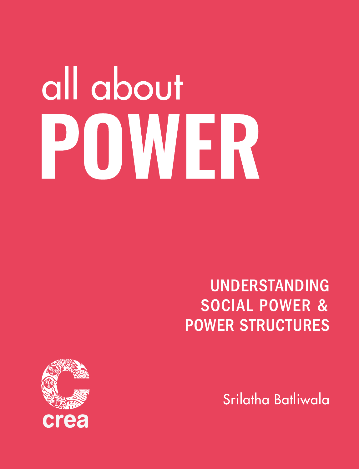# all about POWER

# **UNDERSTANDING SOCIAL POWER & POWER STRUCTURES**



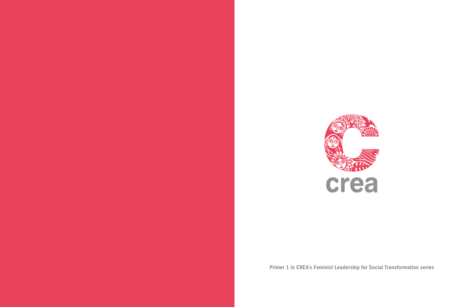

Primer 1 in CREA's Feminist Leadership for Social Transformation series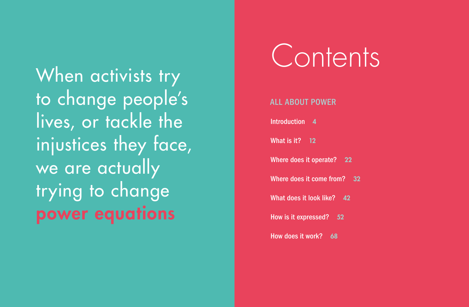When activists try to change people's lives, or tackle the injustices they face, we are actually trying to change power equations

# Contents

#### ALL ABOUT POWER

Introduction 4

What is it? 12

Where does it operate? 22

Where does it come from? 32

What does it look like? 42

How is it expressed? 52

How does it work? 68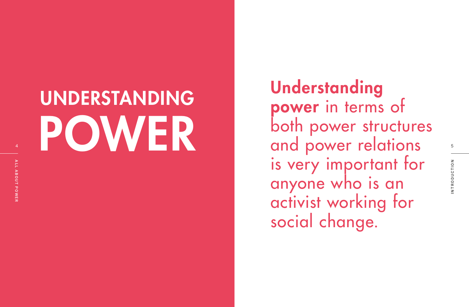# UNDERSTANDING <sup>4</sup> POWER

**Understanding** power in terms of both power structures and power relations is very important for anyone who is an activist working for social change.

5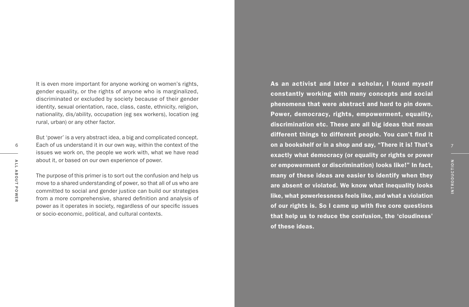6A L L A B O U T P O W E R

It is even more important for anyone working on women's rights, gender equality, or the rights of anyone who is marginalized, discriminated or excluded by society because of their gender identity, sexual orientation, race, class, caste, ethnicity, religion, nationality, dis/ability, occupation (eg sex workers), location (eg rural, urban) or any other factor.

But 'power' is a very abstract idea, a big and complicated concept. Each of us understand it in our own way, within the context of the issues we work on, the people we work with, what we have read about it, or based on our own experience of power.

The purpose of this primer is to sort out the confusion and help us move to a shared understanding of power, so that all of us who are committed to social and gender justice can build our strategies from a more comprehensive, shared definition and analysis of power as it operates in society, regardless of our specific issues or socio-economic, political, and cultural contexts.

As an activist and later a scholar, I found myself constantly working with many concepts and social phenomena that were abstract and hard to pin down. Power, democracy, rights, empowerment, equality, discrimination etc. These are all big ideas that mean different things to different people. You can't find it on a bookshelf or in a shop and say, "There it is! That's exactly what democracy (or equality or rights or power or empowerment or discrimination) looks like!" In fact, many of these ideas are easier to identify when they are absent or violated. We know what inequality looks like, what powerlessness feels like, and what a violation of our rights is. So I came up with five core questions that help us to reduce the confusion, the 'cloudiness' of these ideas.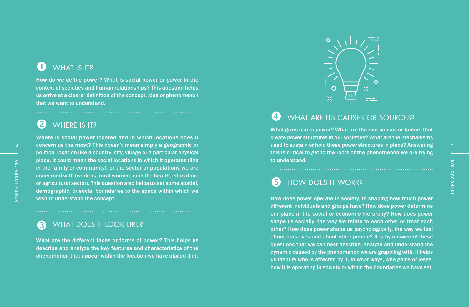# **WHAT IS IT?**

How do we define power? What is social power or power in the context of societies and human relationships? This question helps us arrive at a clearer definition of the concept, idea or phenomenon **that WHAT IS IT?**<br>How do we define power? I<br>context of societies and hun<br>us arrive at a clearer definitic<br>that we want to understand.

# WHERE IS IT?

Where is social power located and in which locations does it concern us the most? This doesn't mean simply a geographic or political location like a country, city, village or a particular physical place. It could mean the social locations in which it operates (like in the family or community), or the sector or populations we are concerned with (workers, rural women, or in the health, education, or agricultural sector). This question also helps us set some spatial, demographic, or social boundaries to the space within which we **2** WHERE IS IT?<br>Where is social power located<br>concern us the most? This does<br>political location like a country, q<br>place. It could mean the social l<br>in the family or community), or<br>concerned with (workers, rural w<br>or agric

## WHAT DOES IT LOOK LIKE?

What are the different faces or forms of power? This helps us describe and analyze the key features and characteristics of the **3** WHAT DOES IT LOOK LIKE?<br>What are the different faces or forms of power? This helps us<br>describe and analyze the key features and characteristics of the<br>phenomenon that appear within the location we have placed it in.



# WHAT ARE ITS CAUSES OR SOURCES?

What gives rise to power? What are the root causes or factors that create power structures in our societies? What are the mechanisms used to sustain or hold these power structures in place? Answering this is critical to get to the roots of the phenomenon we are trying **to** WHAT<br>What gives rise<br>create power s<br>used to sustair<br>this is critical to<br>to understand.

# HOW DOES IT WORK?

How does power operate in society, in shaping how much power different individuals and groups have? How does power determine our place in the social or economic hierarchy? How does power shape us socially, the way we relate to each other or treat each other? How does power shape us psychologically, the way we feel about ourselves and about other people? It is by answering these questions that we can best describe, analyze and understand the dynamic caused by the phenomenon we are grappling with. It helps us identify who is affected by it, in what ways, who gains or loses, **S** HOW DOES IT WORK?<br>How does power operate in society, in shaping how much power<br>different individuals and groups have? How does power determine<br>our place in the social or economic hierarchy? How does power<br>shape us soci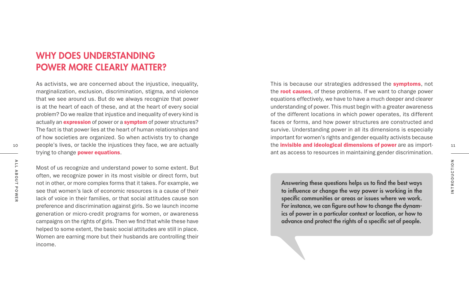## WHY DOES UNDERSTANDING POWER MORE CLEARLY MATTER?

As activists, we are concerned about the injustice, inequality, marginalization, exclusion, discrimination, stigma, and violence that we see around us. But do we always recognize that power is at the heart of each of these, and at the heart of every social problem? Do we realize that injustice and inequality of every kind is actually an **expression** of power or a **symptom** of power structures? The fact is that power lies at the heart of human relationships and of how societies are organized. So when activists try to change 10 11 11 people's lives, or tackle the injustices they face, we are actually **the invisible and ideological dimensions of power** are as importtrying to change **power equations**.

Most of us recognize and understand power to some extent. But often, we recognize power in its most visible or direct form, but not in other, or more complex forms that it takes. For example, we see that women's lack of economic resources is a cause of their lack of voice in their families, or that social attitudes cause son preference and discrimination against girls. So we launch income generation or micro-credit programs for women, or awareness campaigns on the rights of girls. Then we find that while these have helped to some extent, the basic social attitudes are still in place. Women are earning more but their husbands are controlling their income. Provided by the secognize and understand power to some extent. But<br>
Soften, we recognize power in its most visible or direct form, but<br>
not in other, or more complex forms that it takes. For example, we<br>
see that women's

This is because our strategies addressed the **symptoms**, not the **root causes**, of these problems. If we want to change power equations effectively, we have to have a much deeper and clearer understanding of power. This must begin with a greater awareness of the different locations in which power operates, its different faces or forms, and how power structures are constructed and survive. Understanding power in all its dimensions is especially important for women's rights and gender equality activists because the **invisible and ideological dimensions of power** are as important as access to resources in maintaining gender discrimination.

Answering these questions helps us to find the best ways to influence or change the way power is working in the specific communities or areas or issues where we work. For instance, we can figure out how to change the dynamics of power in a particular context or location, or how to advance and protect the rights of a specific set of people.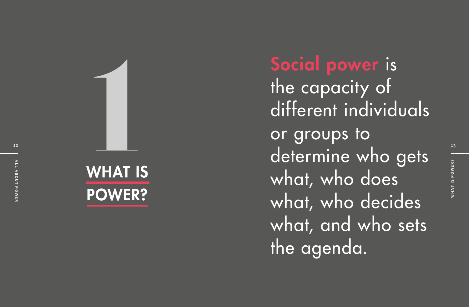



Social power is the capacity of different individuals or groups to determine who gets what, who does what, who decides what, and who sets the agenda. Social power is<br>
the capacity of<br>
different individuals<br>
or groups to<br>
determine who gets

12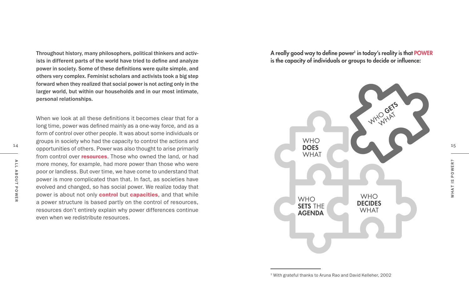Throughout history, many philosophers, political thinkers and activists in different parts of the world have tried to define and analyze power in society. Some of these definitions were quite simple, and others very complex. Feminist scholars and activists took a big step forward when they realized that social power is not acting only in the larger world, but within our households and in our most intimate, personal relationships.

When we look at all these definitions it becomes clear that for a long time, power was defined mainly as a one-way force, and as a form of control over other people. It was about some individuals or groups in society who had the capacity to control the actions and opportunities of others. Power was also thought to arise primarily **DOES** from control over **resources**. Those who owned the land, or had more money, for example, had more power than those who were poor or landless. But over time, we have come to understand that power is more complicated than that. In fact, as societies have evolved and changed, so has social power. We realize today that power is about not only **control** but **capacities**, and that while a power structure is based partly on the control of resources, resources don't entirely explain why power differences continue even when we redistribute resources

A really good way to define power<sup>1</sup> in today's reality is that POWER is the capacity of individuals or groups to decide or influence:

WHO GETS **WHAT WHO DOES** WHAT **WHO** SETS THE AGENDA **WHO** DECIDES **WHAT** 

1 With grateful thanks to Aruna Rao and David Kelleher, 2002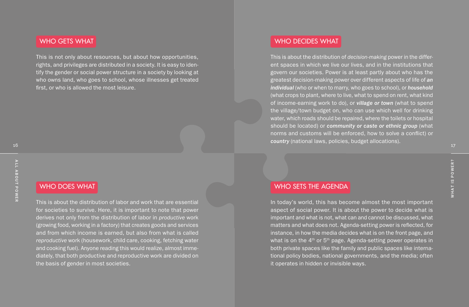#### WHO GETS WHAT

This is not only about resources, but about how opportunities, rights, and privileges are distributed in a society. It is easy to identify the gender or social power structure in a society by looking at who owns land, who goes to school, whose illnesses get treated first, or who is allowed the most leisure.

### WHO DOES WHAT

This is about the distribution of labor and work that are essential for societies to survive. Here, it is important to note that power derives not only from the distribution of labor in *productive* work (growing food, working in a factory) that creates goods and services and from which income is earned, but also from what is called *reproductive* work (housework, child care, cooking, fetching water and cooking fuel). Anyone reading this would realize, almost immediately, that both productive and reproductive work are divided on the basis of gender in most societies.

#### WHO DECIDES WHAT

This is about the distribution of *decision-making* power in the different spaces in which we live our lives, and in the institutions that govern our societies. Power is at least partly about who has the greatest decision-making power over different aspects of life of *an individual* (who or when to marry, who goes to school), or *household* (what crops to plant, where to live, what to spend on rent, what kind of income-earning work to do), or *village or town* (what to spend the village/town budget on, who can use which well for drinking water, which roads should be repaired, where the toilets or hospital should be located) or *community or caste or ethnic group* (what norms and customs will be enforced, how to solve a conflict) or *country* (national laws, policies, budget allocations).

#### WHO SETS THE AGENDA

In today's world, this has become almost the most important aspect of social power. It is about the power to decide what is important and what is not, what can and cannot be discussed, what matters and what does not. Agenda-setting power is reflected, for instance, in how the media decides what is on the front page, and what is on the  $4<sup>th</sup>$  or  $5<sup>th</sup>$  page. Agenda-setting power operates in both private spaces like the family and public spaces like international policy bodies, national governments, and the media; often it operates in hidden or invisible ways.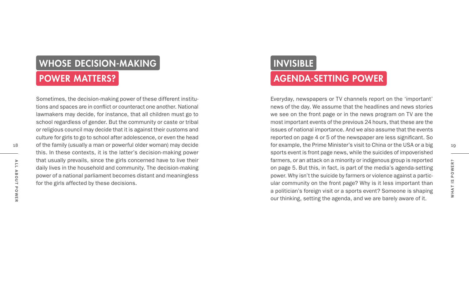# WHOSE DECISION-MAKING

# POWER MATTERS?

Sometimes, the decision-making power of these different institutions and spaces are in conflict or counteract one another. National lawmakers may decide, for instance, that all children must go to school regardless of gender. But the community or caste or tribal or religious council may decide that it is against their customs and culture for girls to go to school after adolescence, or even the head of the family (usually a man or powerful older woman) may decide this. In these contexts, it is the latter's decision-making power that usually prevails, since the girls concerned have to live their daily lives in the household and community. The decision-making power of a national parliament becomes distant and meaningless for the girls affected by these decisions.

# INVISIBLE

# AGENDA-SETTING POWER

Everyday, newspapers or TV channels report on the 'important' news of the day. We assume that the headlines and news stories we see on the front page or in the news program on TV are the most important events of the previous 24 hours, that these are the issues of national importance. And we also assume that the events reported on page 4 or 5 of the newspaper are less significant. So of the family (usually a man or powerful older woman) may decide the manner of the example, the Prime Minister's visit to China or the USA or a big the Prime of the USA or a big the Prime of the Prime of the USA or a big sports event is front page news, while the suicides of impoverished farmers, or an attack on a minority or indigenous group is reported on page 5. But this, in fact, is part of the media's agenda-setting power. Why isn't the suicide by farmers or violence against a particular community on the front page? Why is it less important than a politician's foreign visit or a sports event? Someone is shaping our thinking, setting the agenda, and we are barely aware of it.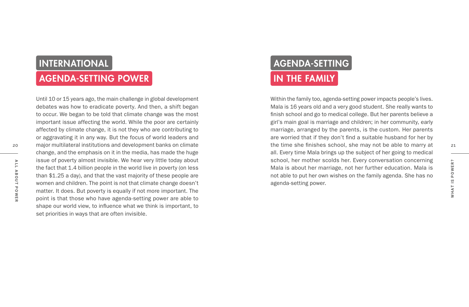# INTERNATIONAL

# AGENDA-SETTING POWER

Until 10 or 15 years ago, the main challenge in global development debates was how to eradicate poverty. And then, a shift began to occur. We began to be told that climate change was the most important issue affecting the world. While the poor are certainly affected by climate change, it is not they who are contributing to or aggravating it in any way. But the focus of world leaders and change, and the emphasis on it in the media, has made the huge issue of poverty almost invisible. We hear very little today about the fact that 1.4 billion people in the world live in poverty (on less than \$1.25 a day), and that the vast majority of these people are women and children. The point is not that climate change doesn't matter. It does. But poverty is equally if not more important. The point is that those who have agenda-setting power are able to shape our world view, to influence what we think is important, to set priorities in ways that are often invisible.

# AGENDA-SETTING IN THE FAMILY

Within the family too, agenda-setting power impacts people's lives. Mala is 16 years old and a very good student. She really wants to finish school and go to medical college. But her parents believe a girl's main goal is marriage and children; in her community, early marriage, arranged by the parents, is the custom. Her parents are worried that if they don't find a suitable husband for her by the time she finishes school, she may not be able to marry at all. Every time Mala brings up the subject of her going to medical school, her mother scolds her. Every conversation concerning Mala is about her marriage, not her further education. Mala is not able to put her own wishes on the family agenda. She has no agenda-setting power. 20 20 21 major multilateral institutions and development banks on climate example the time shere finishes school, she may not be able to marry at the time shere finishes school, she may not be able to marry at

A L L A B O U T P O W E R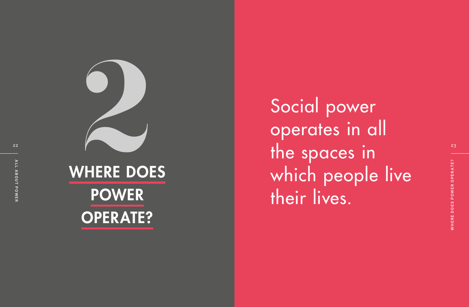

OPERATE?

Social power operates in all the spaces in which people live their lives.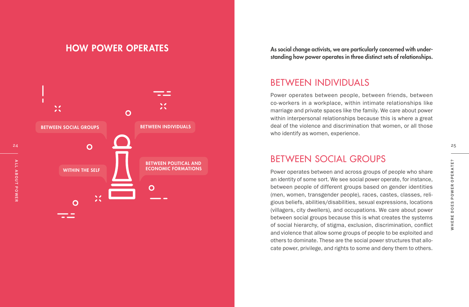## HOW POWER OPERATES



As social change activists, we are particularly concerned with understanding how power operates in three distinct sets of relationships.

## BETWEEN INDIVIDUALS

Power operates between people, between friends, between co-workers in a workplace, within intimate relationships like marriage and private spaces like the family. We care about power within interpersonal relationships because this is where a great deal of the violence and discrimination that women, or all those who identify as women, experience.

## BETWEEN SOCIAL GROUPS

Power operates between and across groups of people who share an identity of some sort. We see social power operate, for instance, between people of different groups based on gender identities (men, women, transgender people), races, castes, classes, religious beliefs, abilities/disabilities, sexual expressions, locations (villagers, city dwellers), and occupations. We care about power between social groups because this is what creates the systems of social hierarchy, of stigma, exclusion, discrimination, conflict and violence that allow some groups of people to be exploited and others to dominate. These are the social power structures that allocate power, privilege, and rights to some and deny them to others.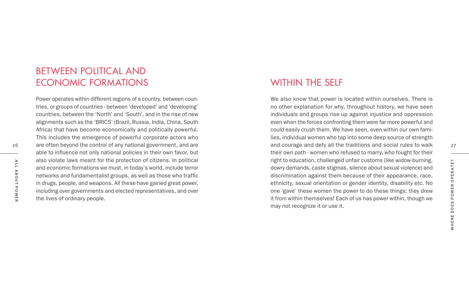## WITHIN THE SELF

We also know that power is located within ourselves. There is no other explanation for why, throughout history, we have seen individuals and groups rise up against injustice and oppression even when the forces confronting them were far more powerful and could easily crush them. We have seen, even within our own fami lies, individual women who tap into some deep source of strength their own path - women who refused to marry, who fought for their right to education, challenged unfair customs (like widow-burning, dowry demands, caste stigmas, silence about sexual violence) and discrimination against them because of their appearance, race, ethnicity, sexual orientation or gender identity, disability etc. No one 'gave' these women the power to do these things; they drew it from within themselves! Each of us has power within, though we may not recognize it or use it.

#### understanding how power operates in three distinct sets of rela BETWEEN POLITICAL AND ECONOMIC FORMATIONS

26 26 27 are often beyond the control of any national government, and are **27** and courage and defy all the traditions and social rules to walk 27 Power operates within different regions of a country, between coun tries, or groups of countries - between 'developed' and 'developing' countries, between the 'North' and 'South', and in the rise of new alignments such as the 'BRICS' (Brazil, Russia, India, China, South Africa) that have become economically and politically powerful. This includes the emergence of powerful corporate actors who are often beyond the control of any national government, and are able to influence not only national policies in their own favor, but also violate laws meant for the protection of citizens. In political and economic formations we must, in today's world, include terror networks and fundamentalist groups, as well as those who traffic in drugs, people, and weapons. All these have gained great power, including over governments and elected representatives, and over the lives of ordinary people.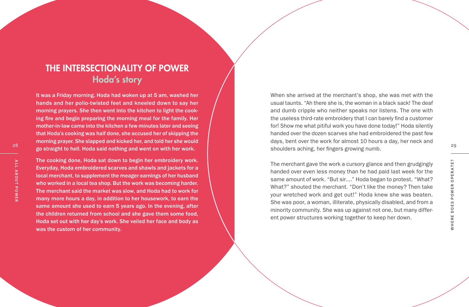# THE INTERSECTIONALITY OF POWER Hoda's story

It was a Friday morning. Hoda had woken up at 5 am, washed her hands and her polio-twisted feet and kneeled down to say her morning prayers. She then went into the kitchen to light the cook ing fire and begin preparing the morning meal for the family. Her mother-in-law came into the kitchen a few minutes later and seeing that Hoda's cooking was half done, she accused her of skipping the morning prayer. She slapped and kicked her, and told her she would

The cooking done, Hoda sat down to begin her embroidery work. Everyday, Hoda embroidered scarves and shawls and jackets for a local merchant, to supplement the meager earnings of her husband who worked in a local tea shop. But the work was becoming harder. The merchant said the market was slow, and Hoda had to work for many more hours a day, in addition to her housework, to earn the same amount she used to earn 5 years ago. In the evening, after the children returned from school and she gave them some food, Hoda set out with her day's work. She veiled her face and body as was the custom of her community.

za<br>29 **zo straight to hell. Hoda said nothing and went on with her work.** The straight of the shoulders aching, her fingers growing numb. When she arrived at the merchant's shop, she was met with the usual taunts. "Ah there she is, the woman in a black sack! The deaf and dumb cripple who neither speaks nor listens. The one with the useless third-rate embroidery that I can barely find a customer for! Show me what pitiful work you have done today!" Hoda silently handed over the dozen scarves she had embroidered the past few days, bent over the work for almost 10 hours a day, her neck and shoulders aching, her fingers growing numb.

> The merchant gave the work a cursory glance and then grudgingly handed over even less money than he had paid last week for the same amount of work. "But sir...." Hoda began to protest. "What? What?" shouted the merchant. "Don't like the money? Then take your wretched work and get out!" Hoda knew she was beaten. She was poor, a woman, illiterate, physically disabled, and from a minority community. She was up against not one, but many different power structures working together to keep her down.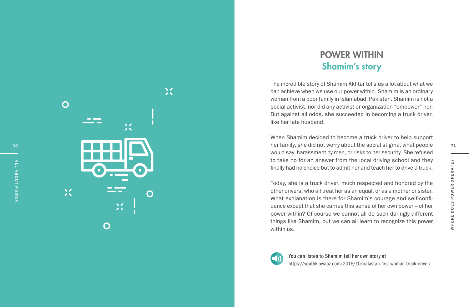A L L A B O U T P O W E R



# POWER WITHIN Shamim's story

The incredible story of Shamim Akhtar tells us a lot about what we can achieve when we use our power within. Shamim is an ordinary woman from a poor family in Islamabad, Pakistan. Shamim is not a social activist, nor did any activist or organization "empower" her. But against all odds, she succeeded in becoming a truck driver, like her late husband.

 $\overline{30}$  ber family, she did not worry about the social stigma, what people  $\overline{31}$ When Shamim decided to become a truck driver to help support would say, harassment by men, or risks to her security. She refused to take no for an answer from the local driving school and they finally had no choice but to admit her and teach her to drive a truck.

> Today, she is a truck driver, much respected and honored by the other drivers, who all treat her as an equal, or as a mother or sister. What explanation is there for Shamim's courage and self-confi dence except that she carries this sense of her own power – of her power within? Of course we cannot all do such daringly different things like Shamim, but we can all learn to recognize this power within us.



You can listen to Shamim tell her own story at https://youthkiawaaz.com/2016/10/pakistan-first-woman-truck-driver/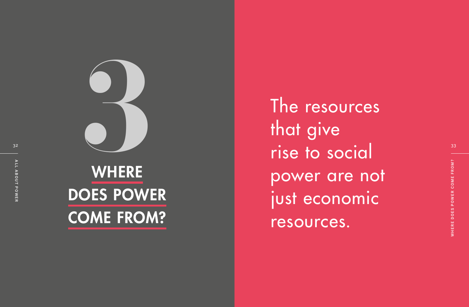

# WHERE DOES POWER

 $\frac{32}{2}$  rise to social  $\frac{33}{2}$ The resources<br>
The resources<br>
that give<br>
rise to social<br>
power are not<br>
power are not<br>
iust economic<br>
resources. that give power are not just economic resources.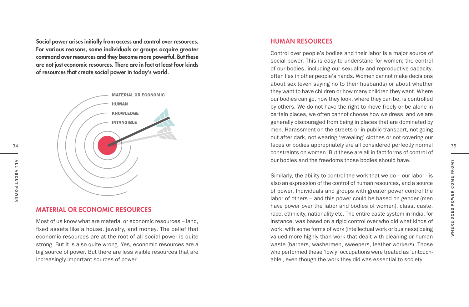Social power arises initially from access and control over resources. For various reasons, some individuals or groups acquire greater command over resources and they become more powerful. But these are not just economic resources. There are in fact at least four kinds of resources that create social power in today's world.



#### MATERIAL OR ECONOMIC RESOURCES

Most of us know what are material or economic resources – land, fixed assets like a house, jewelry, and money. The belief that economic resources are at the root of all social power is quite strong. But it is also quite wrong. Yes, economic resources are a big source of power. But there are less visible resources that are increasingly important sources of power.

#### HUMAN RESOURCES

34 **faces or bodies appropriately are all considered perfectly normal** 35 Control over people's bodies and their labor is a major source of social power. This is easy to understand for women; the control of our bodies, including our sexuality and reproductive capacity, often lies in other people's hands. Women cannot make decisions about sex (even saying no to their husbands) or about whether they want to have children or how many children they want. Where our bodies can go, how they look, where they can be, is controlled by others. We do not have the right to move freely or be alone in certain places, we often cannot choose how we dress, and we are generally discouraged from being in places that are dominated by men. Harassment on the streets or in public transport, not going out after dark, not wearing 'revealing' clothes or not covering our constraints on women. But these are all in fact forms of control of our bodies and the freedoms those bodies should have.

> Similarly, the ability to control the work that we do – our labor - is also an expression of the control of human resources, and a source of power. Individuals and groups with greater power control the labor of others – and this power could be based on gender (men have power over the labor and bodies of women), class, caste, race, ethnicity, nationality etc. The entire caste system in India, for instance, was based on a rigid control over who did what kinds of work, with some forms of work (intellectual work or business) being valued more highly than work that dealt with cleaning or human waste (barbers, washermen, sweepers, leather workers). Those who performed these 'lowly' occupations were treated as 'untouch able', even though the work they did was essential to society.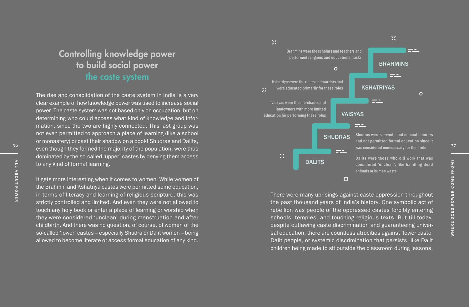# Controlling knowledge power to build social power the caste system

The rise and consolidation of the caste system in India is a very clear example of how knowledge power was used to increase social power. The caste system was not based only on occupation, but on determining who could access what kind of knowledge and information, since the two are highly connected. This last group was not even permitted to approach a place of learning (like a school or monastery) or cast their shadow on a book! Shudras and Dalits, dominated by the so-called 'upper' castes by denying them access to any kind of formal learning.

It gets more interesting when it comes to women. While women of the Brahmin and Kshatriya castes were permitted some education, in terms of literacy and learning of religious scripture, this was strictly controlled and limited. And even they were not allowed to touch any holy book or enter a place of learning or worship when they were considered 'unclean' during menstruation and after childbirth. And there was no question, of course, of women of the so-called 'lower' castes – especially Shudra or Dalit women – being allowed to become literate or access formal education of any kind.



There were many uprisings against caste oppression throughout the past thousand years of India's history. One symbolic act of rebellion was people of the oppressed castes forcibly entering schools, temples, and touching religious texts. But till today, despite outlawing caste discrimination and guaranteeing universal education, there are countless atrocities against 'lower caste' Dalit people, or systemic discrimination that persists, like Dalit children being made to sit outside the classroom during lessons.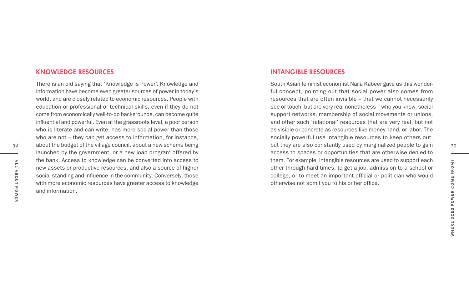#### KNOWLEDGE RESOURCES

38 38 38 about the budget of the village council, about a new scheme being stream and the stream of they are also constantly used by marginalized people to gain 39 There is an old saying that 'Knowledge is Power'. Knowledge and information have become even greater sources of power in today's world, and are closely related to economic resources. People with education or professional or technical skills, even if they do not come from economically well-to-do backgrounds, can become quite influential and powerful. Even at the grassroots level, a poor person who is literate and can write, has more social power than those who are not – they can get access to information, for instance, launched by the government, or a new loan program offered by the bank. Access to knowledge can be converted into access to new assets or productive resources, and also a source of higher social standing and influence in the community. Conversely, those with more economic resources have greater access to knowledge and information.

#### INTANGIBLE RESOURCES

South Asian feminist economist Naila Kabeer gave us this wonderful concept, pointing out that social power also comes from resources that are often invisible – that we cannot necessarily see or touch, but are very real nonetheless – who you know, social support networks, membership of social movements or unions, and other such 'relational' resources that are very real, but not as visible or concrete as resources like money, land, or labor. The socially powerful use intangible resources to keep others out, but they are also constantly used by marginalized people to gain access to spaces or opportunities that are otherwise denied to them. For example, intangible resources are used to support each other through hard times, to get a job, admission to a school or college, or to meet an important official or politician who would otherwise not admit you to his or her office.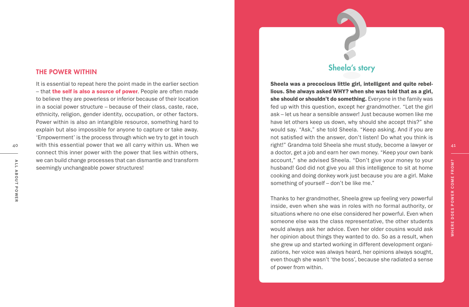#### THE POWER WITHIN

It is essential to repeat here the point made in the earlier section – that the self is also a source of power. People are often made to believe they are powerless or inferior because of their location in a social power structure – because of their class, caste, race, ethnicity, religion, gender identity, occupation, or other factors. Power within is also an intangible resource, something hard to explain but also impossible for anyone to capture or take away. 'Empowerment' is the process through which we try to get in touch with this essential power that we all carry within us. When we connect this inner power with the power that lies within others, we can build change processes that can dismantle and transform seemingly unchangeable power structures! 40 with this essential power that we all carry within us. When we entitled a lawyer or the must study, become a lawyer or the 41

### Sheela's story

Sheela was a precocious little girl, intelligent and quite rebel lious. She always asked WHY? when she was told that as a girl, she should or shouldn't do something. Everyone in the family was fed up with this question, except her grandmother. "Let the girl ask – let us hear a sensible answer! Just because women like me have let others keep us down, why should she accept this?" she would say. "Ask," she told Sheela. "Keep asking. And if you are not satisfied with the answer, don't listen! Do what you think is a doctor, get a job and earn her own money. "Keep your own bank account," she advised Sheela. "Don't give your money to your husband! God did not give you all this intelligence to sit at home cooking and doing donkey work just because you are a girl. Make something of yourself – don't be like me."

Thanks to her grandmother, Sheela grew up feeling very powerful inside, even when she was in roles with no formal authority, or situations where no one else considered her powerful. Even when someone else was the class representative, the other students would always ask her advice. Even her older cousins would ask her opinion about things they wanted to do. So as a result, when she grew up and started working in different development organi zations, her voice was always heard, her opinions always sought, even though she wasn't 'the boss', because she radiated a sense of power from within. Recentingly unchangeable power structures!<br>
Seemingly unchangeable power structures!<br>
Seemingly unchangeable power structures!<br>
Seemingly unchangeable power structures!<br>
Seeming of yourself – don't be like me."<br>
Seeming of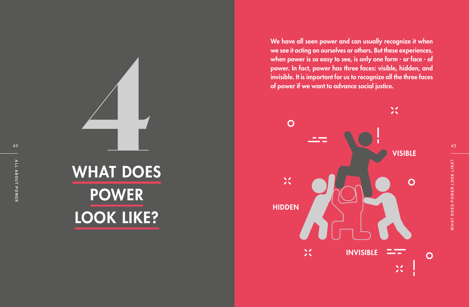WHAT DOES POWER LOOK LIKE?

We have all seen power and can usually recognize it when we see it acting on ourselves or others. But these experiences, when power is so easy to see, is only one form - or face - of power. In fact, power has three faces: visible, hidden, and invisible. It is important for us to recognize all the three faces of power if we want to advance social justice.

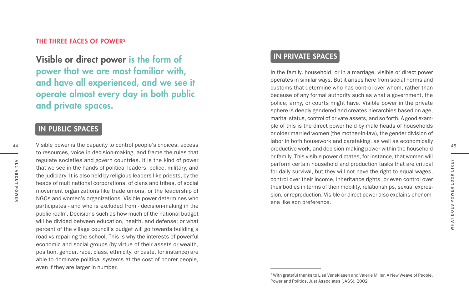#### THE THREE FACES OF POWER $^{\rm 2}$

Visible or direct power is the form of power that we are most familiar with, and have all experienced, and we see it operate almost every day in both public and private spaces.

### IN PUBLIC SPACES

Visible power is the capacity to control people's choices, access to resources, voice in decision-making, and frame the rules that regulate societies and govern countries. It is the kind of power that we see in the hands of political leaders, police, military, and the judiciary. It is also held by religious leaders like priests, by the heads of multinational corporations, of clans and tribes, of social movement organizations like trade unions, or the leadership of NGOs and women's organizations. Visible power determines who participates - and who is excluded from - decision-making in the public realm. Decisions such as how much of the national budget will be divided between education, health, and defense; or what percent of the village council's budget will go towards building a road vs repairing the school. This is why the interests of powerful economic and social groups (by virtue of their assets or wealth, position, gender, race, class, ethnicity, or caste, for instance) are able to dominate political systems at the cost of poorer people, even if they are larger in number.

### IN PRIVATE SPACES

In the family, household, or in a marriage, visible or direct power operates in similar ways. But it arises here from social norms and customs that determine who has control over whom, rather than because of any formal authority such as what a government, the police, army, or courts might have. Visible power in the private sphere is deeply gendered and creates hierarchies based on age, marital status, control of private assets, and so forth. A good exam ple of this is the direct power held by male heads of households or older married women (the mother-in-law), the gender division of labor in both housework and caretaking, as well as economically productive work, and decision-making power within the household or family. This visible power dictates, for instance, that women will perform certain household and production tasks that are critical for daily survival, but they will not have the right to equal wages, control over their income, inheritance rights, or even control over their bodies in terms of their mobility, relationships, sexual expres sion, or reproduction. Visible or direct power also explains phenom ena like son preference.

45

44

<sup>2</sup> With grateful thanks to Lisa Veneklasen and Valerie Miller, A New Weave of People, Power and Politics, Just Associates (JASS), 2002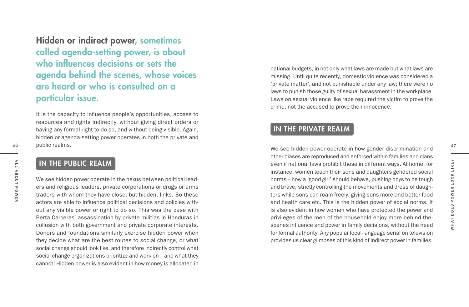Hidden or indirect power, sometimes called agenda-setting power, is about who influences decisions or sets the agenda behind the scenes, whose voices are heard or who is consulted on a particular issue.

It is the capacity to influence people's opportunities, access to resources and rights indirectly, without giving direct orders or having any formal right to do so, and without being visible. Again, hidden or agenda-setting power operates in both the private and 46 public realms. And the seed of the seed of the seed in the seed in the seed in how gender discrimination and the seed in how gender discrimination and the seed in how gender discrimination and the seed in how gender dis

## IN THE PUBLIC REALM

We see hidden power operate in the nexus between political lead ers and religious leaders, private corporations or drugs or arms traders with whom they have close, but hidden, links. So these actors are able to influence political decisions and policies with out any visible power or right to do so. This was the case with Berta Carceras' assassination by private militias in Honduras in collusion with both government and private corporate interests. Donors and foundations similarly exercise hidden power when they decide what are the best routes to social change, or what social change should look like, and therefore indirectly control what social change organizations prioritize and work on – and what they cannot! Hidden power is also evident in how money is allocated in

national budgets, in not only what laws are made but what laws are missing. Until quite recently, domestic violence was considered a 'private matter', and not punishable under any law; there were no laws to punish those guilty of sexual harassment in the workplace. Laws on sexual violence like rape required the victim to prove the crime, not the accused to prove their innocence.

### IN THE PRIVATE REALM

other biases are reproduced and enforced within families and clans even if national laws prohibit these in different ways. At home, for instance, women teach their sons and daughters gendered social norms – how a 'good girl' should behave, pushing boys to be tough and brave, strictly controlling the movements and dress of daugh ters while sons can roam freely, giving sons more and better food and health care etc. This is the hidden power of social norms. It is also evident in how women who have protected the power and privileges of the men of the household enjoy more behind-thescenes influence and power in family decisions, without the need for formal authority. Any popular local-language serial on television provides us clear glimpses of this kind of indirect power in families.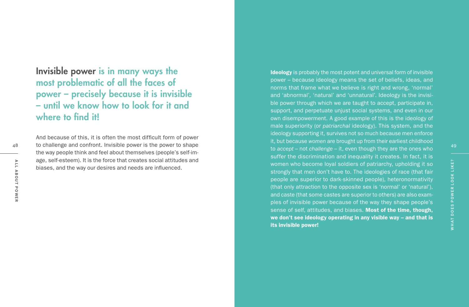Invisible power is in many ways the most problematic of all the faces of power – precisely because it is invisible – until we know how to look for it and where to find it!

And because of this, it is often the most difficult form of power to challenge and confront. Invisible power is the power to shape the way people think and feel about themselves (people's self-im age, self-esteem). It is the force that creates social attitudes and biases, and the way our desires and needs are influenced.

Ideology is probably the most potent and universal form of invisible power – because ideology means the set of beliefs, ideas, and norms that frame what we believe is right and wrong, 'normal' and 'abnormal', 'natural' and 'unnatural'. Ideology is the invisi ble power through which we are taught to accept, participate in, support, and perpetuate unjust social systems, and even in our own disempowerment. A good example of this is the ideology of male superiority (or *patriarchal* ideology). This system, and the ideology supporting it, survives not so much because men enforce it, but because *women* are brought up from their earliest childhood to *accept* – not *challenge* – it, even though they are the ones who suffer the discrimination and inequality it creates. In fact, it is women who become loyal soldiers of patriarchy, upholding it so strongly that men don't have to. The ideologies of race (that fair people are superior to dark-skinned people), heteronormativity (that only attraction to the opposite sex is 'normal' or 'natural'), and caste (that some castes are superior to others) are also exam ples of invisible power because of the way they shape people's sense of self, attitudes, and biases. Most of the time, though, we don't see ideology operating in any visible way – and that is its invisible power!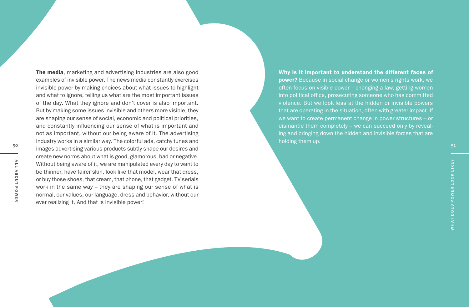The media, marketing and advertising industries are also good examples of invisible power. The news media constantly exercises invisible power by making choices about what issues to highlight and what to ignore, telling us what are the most important issues of the day. What they ignore and don't cover is also important. But by making some issues invisible and others more visible, they are shaping our sense of social, economic and political priorities, and constantly influencing our sense of what is important and not as important, without our being aware of it. The advertising industry works in a similar way. The colorful ads, catchy tunes and and the structure of the structure of the structure of the stress and the stress of the stress of the stress of the stress and the stress and the stress of the stress and the stress and the stress and the stress and the st create new norms about what is good, glamorous, bad or negative. Without being aware of it, we are manipulated every day to want to be thinner, have fairer skin, look like that model, wear that dress, or buy those shoes, that cream, that phone, that gadget. TV serials work in the same way – they are shaping our sense of what is normal, our values, our language, dress and behavior, without our ever realizing it. And that is invisible power!

Why is it important to understand the different faces of power? Because in social change or women's rights work, we often focus on visible power – changing a law, getting women into political office, prosecuting someone who has committed violence. But we look less at the hidden or invisible powers that are operating in the situation, often with greater impact. If we want to create permanent change in power structures – or ing and bringing down the hidden and invisible forces that are holding them up.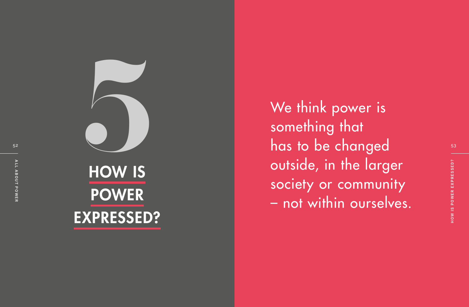

 $\frac{1}{2}$  and  $\frac{1}{2}$  has to be changed the set of  $\frac{1}{2}$ something that outside, in the larger society or community – not within ourselves.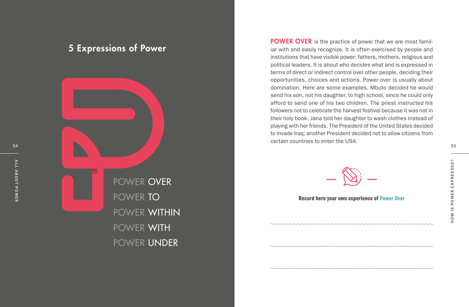POWER OVER POWER TO POWER WITHIN POWER WITH POWER UNDER

POWER OVER is the practice of power that we are most familiar with and easily recognize. It is often exercised by people and institutions that have visible power: fathers, mothers, religious and political leaders. It is about who decides what and is expressed in terms of direct or indirect control over other people, deciding their opportunities, choices and actions. Power over is usually about domination. Here are some examples. Mbuto decided he would send his son, not his daughter, to high school, since he could only afford to send one of his two children. The priest instructed his followers not to celebrate the harvest festival because it was not in their holy book. Jana told her daughter to wash clothes instead of playing with her friends. The President of the United States decided to invade Iraq; another President decided not to allow citizens from certain countries to enter the USA.



Record here your own experience of Power Over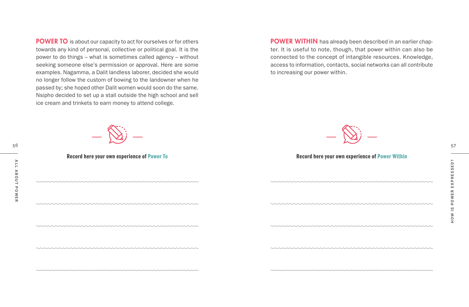POWER TO is about our capacity to act for ourselves or for others towards any kind of personal, collective or political goal. It is the power to do things – what is sometimes called agency – without seeking someone else's permission or approval. Here are some examples. Nagamma, a Dalit landless laborer, decided she would no longer follow the custom of bowing to the landowner when he passed by; she hoped other Dalit women would soon do the same. Nsipho decided to set up a stall outside the high school and sell ice cream and trinkets to earn money to attend college.

POWER WITHIN has already been described in an earlier chapter. It is useful to note, though, that power within can also be connected to the concept of intangible resources. Knowledge, access to information, contacts, social networks can all contribute to increasing our power within.





#### Record here your own experience of Power To **Record here your own experience of Power Within**

,,,,,,,,,,,,,,,,,,,,,,,,,,,,,,,,,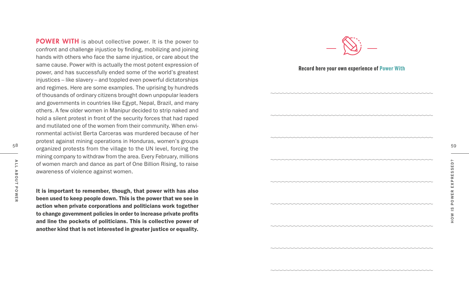POWER WITH is about collective power. It is the power to confront and challenge injustice by finding, mobilizing and joining hands with others who face the same injustice, or care about the same cause. Power with is actually the most potent expression of power, and has successfully ended some of the world's greatest injustices – like slavery – and toppled even powerful dictatorships and regimes. Here are some examples. The uprising by hundreds of thousands of ordinary citizens brought down unpopular leaders and governments in countries like Egypt, Nepal, Brazil, and many others. A few older women in Manipur decided to strip naked and hold a silent protest in front of the security forces that had raped and mutilated one of the women from their community. When envi ronmental activist Berta Carceras was murdered because of her protest against mining operations in Honduras, women's groups mining company to withdraw from the area. Every February, millions of women march and dance as part of One Billion Rising, to raise awareness of violence against women.

It is important to remember, though, that power with has also been used to keep people down. This is the power that we see in action when private corporations and politicians work together to change government policies in order to increase private profits and line the pockets of politicians. This is collective power of another kind that is not interested in greater justice or equality.



#### Record here your own experience of Power With

organized protests from the village to the UN level, forcing the the state of the state organized protests from the village to the UN level, forcing the state of the state organized protests from the village to the UN leve From the match and dance as part of One Billion Rising, to raise<br>
awareness of violence against women.<br>
It is important to remember, though, that power with has also<br>
been used to keep people down. This is the power that w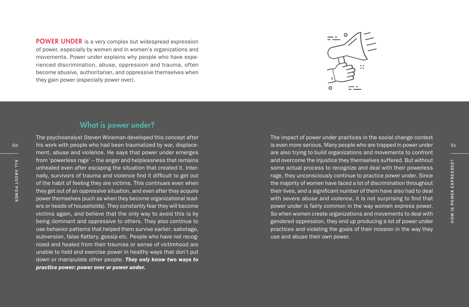POWER UNDER is a very complex but widespread expression of power, especially by women and in women's organizations and movements. Power under explains why people who have experienced discrimination, abuse, oppression and trauma, often become abusive, authoritarian, and oppressive themselves when they gain power (especially power over).



#### What is power under?

The psychoanalyst Steven Wineman developed this concept after his work with people who had been traumatized by war, displacement, abuse and violence. He says that power under emerges from 'powerless rage' – the anger and helplessness that remains unhealed even after escaping the situation that created it. Internally, survivors of trauma and violence find it difficult to get out of the habit of feeling they are victims. This continues even when they get out of an oppressive situation, and even after they acquire power themselves (such as when they become organizational leaders or heads of households). They constantly fear they will become victims again, and believe that the only way to avoid this is by being dominant and oppressive to others. They also continue to use behavior patterns that helped them survive earlier: sabotage, subversion, false flattery, gossip etc. People who have not recognized and healed from their traumas or sense of victimhood are unable to hold and exercise power in healthy ways that don't put down or manipulate other people. *They only know two ways to practice power: power over or power under.*

The impact of power under practices in the social change context 60 his work with people who had been traumatized by war, displace- example the serious. Many people who are trapped in power under the serious. Many people who are trapped in power under the serious of the serious of the s are also trying to build organizations and movements to confront and overcome the injustice they themselves suffered. But without some actual process to recognize and deal with their powerless rage, they unconsciously continue to practice power under. Since the majority of women have faced a lot of discrimination throughout their lives, and a significant number of them have also had to deal with severe abuse and violence, it is not surprising to find that power under is fairly common in the way women express power. So when women create organizations and movements to deal with gendered oppression, they end up producing a lot of power under practices and violating the goals of their mission in the way they use and abuse their own power. Form poweriess rage – the angle and neiphessites that reminded with the interval is a contributed with the sixtensity of the habit of feeling the sixtensity of the habit of feeling the sixtensity of the habit of feeling th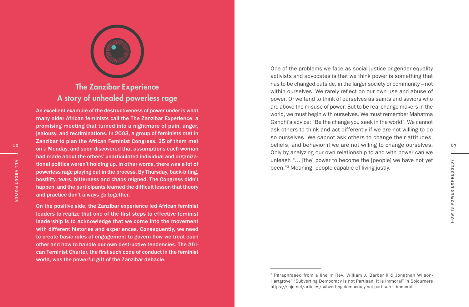

# The Zanzibar Experience A story of unhealed powerless rage

An excellent example of the destructiveness of power under is what many older African feminists call the The Zanzibar Experience: a promising meeting that turned into a nightmare of pain, anger, jealousy, and recriminations. In 2003, a group of feminists met in Zanzibar to plan the African Feminist Congress. 35 of them met on a Monday, and soon discovered that assumptions each woman had made about the others' unarticulated individual and organiza tional politics weren't holding up. In other words, there was a lot of powerless rage playing out in the process. By Thursday, back-biting, hostility, tears, bitterness and chaos reigned. The Congress didn't happen, and the participants learned the difficult lesson that theory and practice don't always go together. From all politics weren't holding up. In other words, there was a lot of<br>
powerless rage playing out in the process. By Thursday, back-biting,<br>
hostility, tears, bitterness and chaos reigned. The Congress didn't<br>
happen,

On the positive side, the Zanzibar experience led African feminist leaders to realize that one of the first steps to effective feminist leadership is to acknowledge that we come into the movement with different histories and experiences. Consequently, we need to create basic rules of engagement to govern how we treat each other and how to handle our own destructive tendencies. The Afri can Feminist Charter, the first such code of conduct in the feminist world, was the powerful gift of the Zanzibar debacle.

One of the problems we face as social justice or gender equality activists and advocates is that we think power is something that has to be changed outside, in the larger society or community – not within ourselves. We rarely reflect on our own use and abuse of power. Or we tend to think of ourselves as saints and saviors who are above the misuse of power. But to be real change makers in the world, we must begin with ourselves. We must remember Mahatma Gandhi's advice: "Be the change you seek in the world". We cannot ask others to think and act differently if we are not willing to do so ourselves. We cannot ask others to change their attitudes, beliefs, and behavior if we are not willing to change ourselves. 63 Only by analyzing our own relationship to and with power can we unleash "… [the] power to become the [people] we have not yet been." 3 Meaning, people capable of living justly.

<sup>3</sup> Paraphrased from a line in Rev. William J. Barber II & Jonathan Wilson-Hartgrove' "Subverting Democracy is not Partisan. It is Immoral" in Sojourners https://sojo.net/articles/subverting-democracy-not-partisan-it-immoral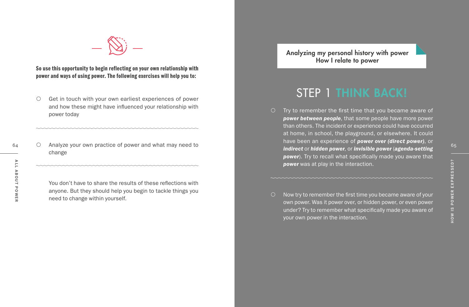

So use this opportunity to begin reflecting on your own relationship with power and ways of using power. The following exercises will help you to:

- $\circ$  Get in touch with your own earliest experiences of power and how these might have influenced your relationship with power today
- $_{64}$   $_{65}$  Analyze your own practice of power and what may need to  $_{65}$  and  $_{65}$  and  $_{65}$  and  $_{65}$  and  $_{65}$  and  $_{65}$  and  $_{65}$  and  $_{65}$  and  $_{65}$  and  $_{65}$  and  $_{65}$  and  $_{65}$  and  $_{65}$  and  $_{65}$  a change

You don't have to share the results of these reflections with anyone. But they should help you begin to tackle things you need to change within yourself.

Analyzing my personal history with power How I relate to power

# STEP 1 THINK BACK!

- $\circ$  Try to remember the first time that you became aware of *power between people*, that some people have more power than others. The incident or experience could have occurred at home, in school, the playground, or elsewhere. It could have been an experience of *power over (direct power)*, or *indirect* or *hidden power*, or *invisible power* (*agenda-setting power*). Try to recall what specifically made you aware that *power* was at play in the interaction.
- $\circ$  Now try to remember the first time you became aware of your own power. Was it power over, or hidden power, or even power under? Try to remember what specifically made you aware of your own power in the interaction. From the interaction.<br>
You don't have to share the results of these reflections with<br>
anyone. But they should help you begin to tackle things you<br>
need to change within yourself.<br>
The contage within yourself.<br>
The contage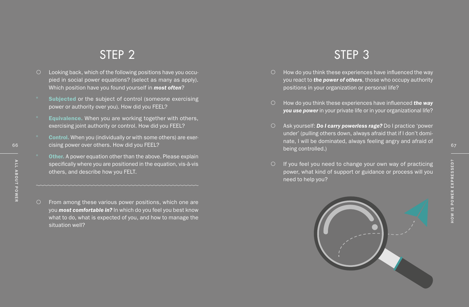# STEP 2

- C Looking back, which of the following positions have you occu-<br>
pied in social power equations? (select as many as apply).<br>
Which position have you found yourself in **most often?**<br>
Subjected or the subject of control (som pied in social power equations? (select as many as apply). Which position have you found yourself in *most often* ?
	- ° Subjected or the subject of control (someone exercising power or authority over you). How did you FEEL?
	- Equivalence. When you are working together with others, exercising joint authority or control. How did you FEEL?
	- **Control.** When you (individually or with some others) are exer-
	- Other. A power equation other than the above. Please explain specifically where you are positioned in the equation, vis-à-vis others, and describe how you FELT.
	- ${\circ}$  From among these various power positions, which one are you *most comfortable in?* In which do you feel you best know what to do, what is expected of you, and how to manage the situation well?

# STEP 3

- ${\circ}$  How do you think these experiences have influenced the way you react to *the power of others*, those who occupy authority positions in your organization or personal life?
- { How do you think these experiences have influenced *the way you use power* in your private life or in your organizational life?
- 66 67 cising power over others. How did you FEEL? { Ask yourself: *Do I carry powerless rage?* Do I practice 'power under' (pulling others down, always afraid that if I don't domi nate, I will be dominated, always feeling angry and afraid of being controlled.)
	- $\circ$  If you feel you need to change your own way of practicing power, what kind of support or guidance or process will you need to help you?



# A L L A B O U T P O W E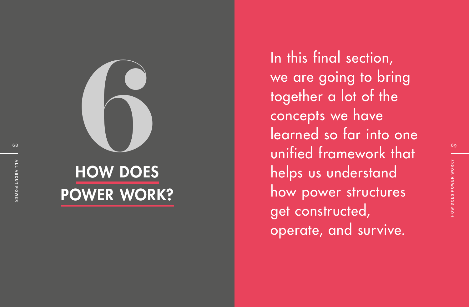

# HOW DOES POWER WORK?

 $\frac{1}{\sqrt{2}}$  unified framework that In this final section,<br>we are going to brit<br>together a lot of the<br>concepts we have<br>learned so far into<br>unified framework the<br>helps us understand we are going to bring together a lot of the concepts we have learned so far into one helps us understand how power structures get constructed, operate, and survive.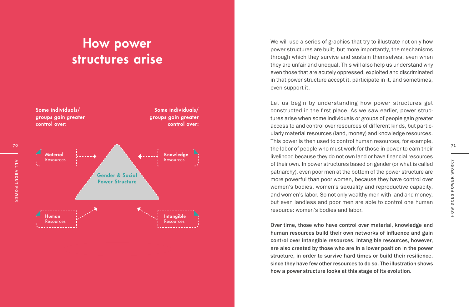# How power structures arise



We will use a series of graphics that try to illustrate not only how power structures are built, but more importantly, the mechanisms through which they survive and sustain themselves, even when they are unfair and unequal. This will also help us understand why even those that are acutely oppressed, exploited and discriminated in that power structure accept it, participate in it, and sometimes, even support it.

Let us begin by understanding how power structures get constructed in the first place. As we saw earlier, power struc tures arise when some individuals or groups of people gain greater access to and control over resources of different kinds, but partic ularly material resources (land, money) and knowledge resources. This power is then used to control human resources, for example, livelihood because they do not own land or have financial resources of their own. In power structures based on gender (or what is called patriarchy), even poor men at the bottom of the power structure are more powerful than poor women, because they have control over women's bodies, women's sexuality and reproductive capacity, and women's labor. So not only wealthy men with land and money, but even landless and poor men are able to control one human resource: women's bodies and labor.

Over time, those who have control over material, knowledge and human resources build their own networks of influence and gain control over intangible resources. Intangible resources, however, are also created by those who are in a lower position in the power structure, in order to survive hard times or build their resilience, since they have few other resources to do so. The illustration shows how a power structure looks at this stage of its evolution.

A L L A B O U T P O W E R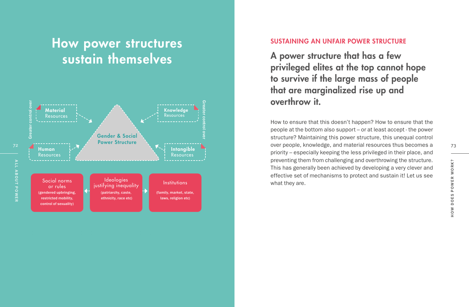# How power structures sustain themselves



#### SUSTAINING AN UNFAIR POWER STRUCTURE

A power structure that has a few privileged elites at the top cannot hope to survive if the large mass of people that are marginalized rise up and overthrow it.

How to ensure that this doesn't happen? How to ensure that the people at the bottom also support – or at least accept - the power structure? Maintaining this power structure, this unequal control over people, knowledge, and material resources thus becomes a priority – especially keeping the less privileged in their place, and preventing them from challenging and overthrowing the structure. This has generally been achieved by developing a very clever and effective set of mechanisms to protect and sustain it! Let us see what they are.

73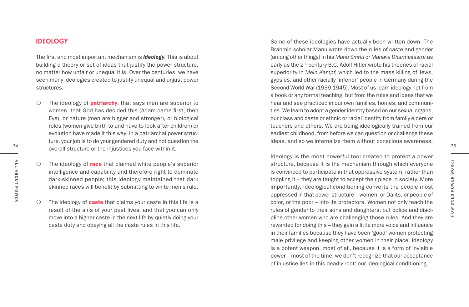#### IDEOLOGY

The first and most important mechanism is *ideology*. This is about building a theory or set of ideas that justify the power structure, no matter how unfair or unequal it is. Over the centuries, we have seen many ideologies created to justify unequal and unjust power structures:

- The contract of the injustices you face within it. The intervention of the intervention overall structure or the injustices you face within it.  ${\circ}$  The ideology of **patriarchy**, that says men are superior to women, that God has decided this (Adam came first, then Eve), or nature (men are bigger and stronger), or biological roles (women give birth to and have to look after children) or evolution have made it this way. In a patriarchal power struc ture, your job is to do your gendered duty and not question the
	- ${\circ}$  The ideology of race that claimed white people's superior intelligence and capability and therefore right to dominate dark-skinned people; this ideology maintained that dark skinned races will benefit by submitting to white men's rule.
	- ${\circ}$  The ideology of **caste** that claims your caste in this life is a result of the sins of your past lives, and that you can only move into a higher caste in the next life by quietly doing your caste duty and obeying all the caste rules in this life.

Some of these ideologies have actually been written down. The Brahmin scholar Manu wrote down the rules of caste and gender (among other things) in his *Manu Smriti* or *Manava Dharmasastra* as early as the 2<sup>nd</sup> century B.C. Adolf Hitler wrote his theories of racial superiority in *Mein Kampf*, which led to the mass killing of Jews, gypsies, and other racially 'inferior' people in Germany during the Second World War (1939-1945). Most of us learn ideology not from a book or any formal teaching, but from the rules and ideas that we hear and see practiced in our own families, homes, and communi ties. We learn to adopt a gender identity based on our sexual organs, our class and caste or ethnic or racial identity from family elders or teachers and others. We are being ideologically trained from our earliest childhood, from before we can question or challenge these ideas, and so we internalize them without conscious awareness.

Ideology is the most powerful tool created to protect a power structure, because it is the mechanism through which everyone is convinced to participate in that oppressive system, rather than toppling it – they are taught to accept their place in society. More importantly, ideological conditioning converts the people most oppressed in that power structure – women, or Dalits, or people of color, or the poor – into its protectors. Women not only teach the rules of gender to their sons and daughters, but police and disci pline other women who are challenging those rules. And they are rewarded for doing this – they gain a little more voice and influence in their families because they have been 'good' women protecting male privilege and keeping other women in their place. Ideology is a potent weapon, most of all, because it is a form of invisible power – most of the time, we don't recognize that our acceptance of injustice lies in this deadly root: our ideological conditioning.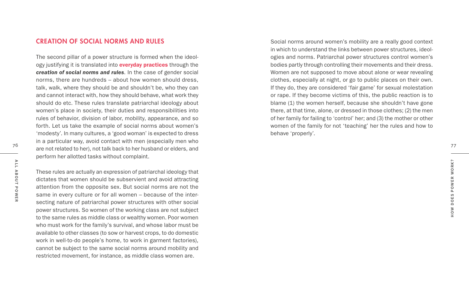#### CREATION OF SOCIAL NORMS AND RULES

The second pillar of a power structure is formed when the ideol ogy justifying it is translated into **everyday practices** through the *creation of social norms and rules*. In the case of gender social norms, there are hundreds – about how women should dress, talk, walk, where they should be and shouldn't be, who they can and cannot interact with, how they should behave, what work they should do etc. These rules translate patriarchal ideology about women's place in society, their duties and responsibilities into rules of behavior, division of labor, mobility, appearance, and so forth. Let us take the example of social norms about women's 'modesty'. In many cultures, a 'good woman' is expected to dress in a particular way, avoid contact with men (especially men who are not related to her), not talk back to her husband or elders, and perform her allotted tasks without complaint.

These rules are actually an expression of patriarchal ideology that dictates that women should be subservient and avoid attracting attention from the opposite sex. But social norms are not the same in every culture or for all women – because of the intersecting nature of patriarchal power structures with other social power structures. So women of the working class are not subject to the same rules as middle class or wealthy women. Poor women who must work for the family's survival, and whose labor must be available to other classes (to sow or harvest crops, to do domestic work in well-to-do people's home, to work in garment factories), cannot be subject to the same social norms around mobility and restricted movement, for instance, as middle class women are.

Social norms around women's mobility are a really good context in which to understand the links between power structures, ideol ogies and norms. Patriarchal power structures control women's bodies partly through controlling their movements and their dress. Women are not supposed to move about alone or wear revealing clothes, especially at night, or go to public places on their own. If they do, they are considered 'fair game' for sexual molestation or rape. If they become victims of this, the public reaction is to blame (1) the women herself, because she shouldn't have gone there, at that time, alone, or dressed in those clothes; (2) the men of her family for failing to 'control' her; and (3) the mother or other women of the family for not 'teaching' her the rules and how to behave 'properly'.

76

77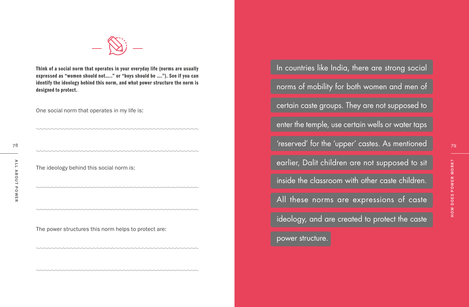

Think of a social norm that operates in your everyday life (norms are usually expressed as "women should not….." or "boys should be …."). See if you can identify the ideology behind this norm, and what power structure the norm is designed to protect.

One social norm that operates in my life is:

The ideology behind this social norm is:

The power structures this norm helps to protect are:

In countries like India, there are strong social norms of mobility for both women and men of certain caste groups. They are not supposed to enter the temple, use certain wells or water taps 'reserved' for the 'upper' castes. As mentioned earlier, Dalit children are not supposed to sit

inside the classroom with other caste children.

All these norms are expressions of caste

ideology, and are created to protect the caste

power structure.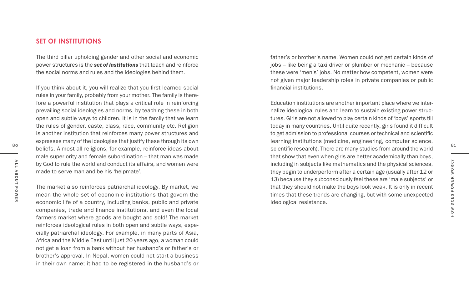#### SET OF INSTITUTIONS

The third pillar upholding gender and other social and economic power structures is the *set of institutions* that teach and reinforce the social norms and rules and the ideologies behind them.

80 beliefs. Almost all religions, for example, reinforce ideas about states are exampled and the world of the scientific research). There are many studies from around the world If you think about it, you will realize that you first learned social rules in your family, probably from your mother. The family is therefore a powerful institution that plays a critical role in reinforcing prevailing social ideologies and norms, by teaching these in both open and subtle ways to children. It is in the family that we learn the rules of gender, caste, class, race, community etc. Religion is another institution that reinforces many power structures and expresses many of the ideologies that justify these through its own beliefs. Almost all religions, for example, reinforce ideas about male superiority and female subordination – that man was made by God to rule the world and conduct its affairs, and women were made to serve man and be his 'helpmate'.

The market also reinforces patriarchal ideology. By market, we mean the whole set of economic institutions that govern the economic life of a country, including banks, public and private companies, trade and finance institutions, and even the local farmers market where goods are bought and sold! The market reinforces ideological rules in both open and subtle ways, especially patriarchal ideology. For example, in many parts of Asia, Africa and the Middle East until just 20 years ago, a woman could not get a loan from a bank without her husband's or father's or brother's approval. In Nepal, women could not start a business in their own name; it had to be registered in the husband's or

father's or brother's name. Women could not get certain kinds of jobs – like being a taxi driver or plumber or mechanic – because these were 'men's' jobs. No matter how competent, women were not given major leadership roles in private companies or public financial institutions.

Education institutions are another important place where we internalize ideological rules and learn to sustain existing power structures. Girls are not allowed to play certain kinds of 'boys' sports till today in many countries. Until quite recently, girls found it difficult to get admission to professional courses or technical and scientific learning institutions (medicine, engineering, computer science, that show that even when girls are better academically than boys, including in subjects like mathematics and the physical sciences, they begin to underperform after a certain age (usually after 12 or 13) because they subconsciously feel these are 'male subjects' or that they should not make the boys look weak. It is only in recent times that these trends are changing, but with some unexpected ideological resistance.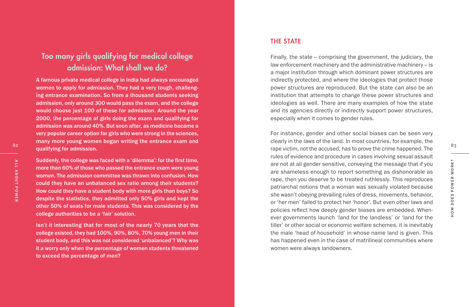## Too many girls qualifying for medical college admission: What shall we do?

A famous private medical college in India had always encouraged women to apply for admission. They had a very tough, challeng ing entrance examination. So from a thousand students seeking admission, only around 300 would pass the exam, and the college would choose just 100 of these for admission. Around the year 2000, the percentage of girls doing the exam and qualifying for admission was around 40%. But soon after, as medicine became a very popular career option for girls who were strong in the sciences, many more young women began writing the entrance exam and qualifying for admission.

Suddenly, the college was faced with a 'dilemma': for the first time, more than 60% of those who passed the entrance exam were young women. The admission committee was thrown into confusion. How could they have an unbalanced sex ratio among their students? How could they have a student body with more girls than boys? So despite the statistics, they admitted only 50% girls and kept the other 50% of seats for male students. This was considered by the college authorities to be a 'fair' solution.

Isn't it interesting that for most of the nearly 70 years that the college existed, they had 100%, 90%, 80%, 70% young men in their student body, and this was not considered 'unbalanced'? Why was it a worry only when the percentage of women students threatened to exceed the percentage of men?

#### THE STATE

Finally, the state – comprising the government, the judiciary, the law enforcement machinery and the administrative machinery – is a major institution through which dominant power structures are indirectly protected, and where the ideologies that protect those power structures are reproduced. But the state can also be an institution that attempts to *change* these power structures and ideologies as well. There are many examples of how the state and its agencies directly or indirectly support power structures, especially when it comes to gender rules.

For instance, gender and other social biases can be seen very clearly in the laws of the land. In most countries, for example, the rape victim, not the accused, has to prove the crime happened. The rules of evidence and procedure in cases involving sexual assault are not at all gender sensitive, conveying the message that if you are shameless enough to report something as dishonorable as rape, then you deserve to be treated ruthlessly. This reproduces patriarchal notions that a woman was sexually violated because she wasn't obeying prevailing rules of dress, movements, behavior, or 'her men' failed to protect her 'honor'. But even other laws and policies reflect how deeply gender biases are embedded. When ever governments launch 'land for the landless' or 'land for the tiller' or other social or economic welfare schemes, it is inevitably the male 'head of household' in whose name land is given. This has happened even in the case of matrilineal communities where women were always landowners.

83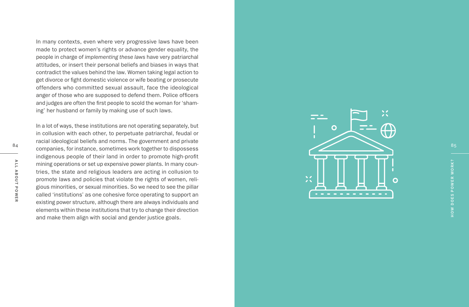In many contexts, even where very progressive laws have been made to protect women's rights or advance gender equality, the people in charge of *implementing these laws* have very patriarchal attitudes, or insert their personal beliefs and biases in ways that contradict the values behind the law. Women taking legal action to get divorce or fight domestic violence or wife beating or prosecute offenders who committed sexual assault, face the ideological anger of those who are supposed to defend them. Police officers and judges are often the first people to scold the woman for 'sham ing' her husband or family by making use of such laws.

In a lot of ways, these institutions are not operating separately, but in collusion with each other, to perpetuate patriarchal, feudal or racial ideological beliefs and norms. The government and private companies, for instance, sometimes work together to dispossess indigenous people of their land in order to promote high-profit mining operations or set up expensive power plants. In many coun tries, the state and religious leaders are acting in collusion to promote laws and policies that violate the rights of women, reli gious minorities, or sexual minorities. So we need to see the pillar called 'institutions' as one cohesive force operating to support an existing power structure, although there are always individuals and elements within these institutions that try to change their direction and make them align with social and gender justice goals.

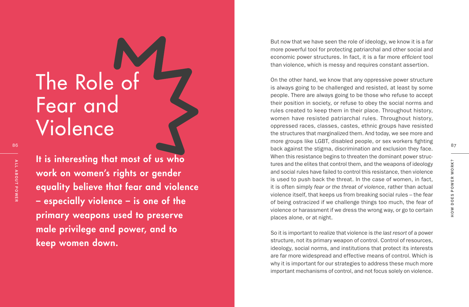# The Role of Fear and Violence

86

It is interesting that most of us who work on women's rights or gender equality believe that fear and violence – especially violence – is one of the primary weapons used to preserve male privilege and power, and to keep women down.

But now that we have seen the role of ideology, we know it is a far more powerful tool for protecting patriarchal and other social and economic power structures. In fact, it is a far more *efficient* tool than violence, which is messy and requires constant assertion.

On the other hand, we know that any oppressive power structure is always going to be challenged and resisted, at least by some people. There are always going to be those who refuse to accept their position in society, or refuse to obey the social norms and rules created to keep them in their place. Throughout history, women have resisted patriarchal rules. Throughout history, oppressed races, classes, castes, ethnic groups have resisted the structures that marginalized them. And today, we see more and more groups like LGBT, disabled people, or sex workers fighting back against the stigma, discrimination and exclusion they face. When this resistance begins to threaten the dominant power struc tures and the elites that control them, and the weapons of ideology and social rules have failed to control this resistance, then violence is used to push back the threat. In the case of women, in fact, it is often simply *fear or the threat of violence*, rather than actual violence itself, that keeps us from breaking social rules – the fear of being ostracized if we challenge things too much, the fear of violence or harassment if we dress the wrong way, or go to certain places alone, or at night.

So it is important to realize that violence is *the last resort* of a power structure, not its primary weapon of control. Control of resources, ideology, social norms, and institutions that protect its interests are far more widespread and effective means of control. Which is why it is important for our strategies to address these much more important mechanisms of control, and not focus solely on violence.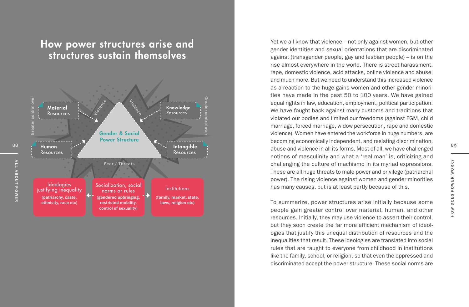# How power structures arise and structures sustain themselves



Yet we all know that violence – not only against women, but other gender identities and sexual orientations that are discriminated against (transgender people, gay and lesbian people) – is on the rise almost everywhere in the world. There is street harassment, rape, domestic violence, acid attacks, online violence and abuse, and much more. But we need to understand this increased violence as a reaction to the huge gains women and other gender minori ties have made in the past 50 to 100 years. We have gained equal rights in law, education, employment, political participation. We have fought back against many customs and traditions that violated our bodies and limited our freedoms (against FGM, child marriage, forced marriage, widow persecution, rape and domestic violence). Women have entered the workforce in huge numbers, are becoming economically independent, and resisting discrimination, abuse and violence in all its forms. Most of all, we have challenged notions of masculinity and what a 'real man' is, criticizing and challenging the culture of machismo in its myriad expressions. These are all huge threats to male power and privilege (patriarchal power). The rising violence against women and gender minorities has many causes, but is at least partly because of this.

To summarize, power structures arise initially because some people gain greater control over material, human, and other resources. Initially, they may use violence to assert their control, but they soon create the far more efficient mechanism of ideol ogies that justify this unequal distribution of resources and the inequalities that result. These ideologies are translated into social rules that are taught to everyone from childhood in institutions like the family, school, or religion, so that even the oppressed and discriminated accept the power structure. These social norms are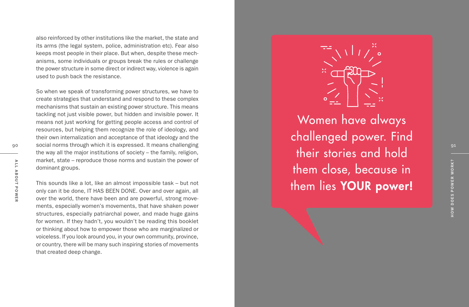also reinforced by other institutions like the market, the state and its arms (the legal system, police, administration etc). Fear also keeps most people in their place. But when, despite these mech anisms, some individuals or groups break the rules or challenge the power structure in some direct or indirect way, violence is again used to push back the resistance.

So when we speak of transforming power structures, we have to create strategies that understand and respond to these complex mechanisms that sustain an existing power structure. This means tackling not just visible power, but hidden and invisible power. It means not just working for getting people access and control of resources, but helping them recognize the role of ideology, and their own internalization and acceptance of that ideology and the social norms through which it is expressed. It means challenging the way all the major institutions of society – the family, religion, market, state – reproduce those norms and sustain the power of dominant groups.

This sounds like a lot, like an almost impossible task – but not only can it be done, IT HAS BEEN DONE. Over and over again, all over the world, there have been and are powerful, strong move ments, especially women's movements, that have shaken power structures, especially patriarchal power, and made huge gains for women. If they hadn't, you wouldn't be reading this booklet or thinking about how to empower those who are marginalized or voiceless. If you look around you, in your own community, province, or country, there will be many such inspiring stories of movements that created deep change.



Women have always challenged power. Find their stories and hold them close, because in them lies YOUR power!

90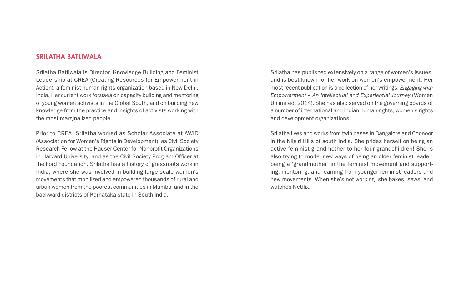#### SRILATHA BATLIWALA

Srilatha Batliwala is Director, Knowledge Building and Feminist Leadership at CREA (Creating Resources for Empowerment in Action), a feminist human rights organization based in New Delhi, India. Her current work focuses on capacity building and mentoring of young women activists in the Global South, and on building new knowledge from the practice and insights of activists working with the most marginalized people.

Prior to CREA, Srilatha worked as Scholar Associate at AWID (Association for Women's Rights in Development), as Civil Society Research Fellow at the Hauser Center for Nonprofit Organizations in Harvard University, and as the Civil Society Program Officer at the Ford Foundation. Srilatha has a history of grassroots work in India, where she was involved in building large-scale women's movements that mobilized and empowered thousands of rural and urban women from the poorest communities in Mumbai and in the backward districts of Karnataka state in South India.

Srilatha has published extensively on a range of women's issues, and is best known for her work on women's empowerment. Her most recent publication is a collection of her writings, *Engaging with Empowerment – An Intellectual and Experiential Journey* (Women Unlimited, 2014). She has also served on the governing boards of a number of international and Indian human rights, women's rights and development organizations.

Srilatha lives and works from twin bases in Bangalore and Coonoor in the Nilgiri Hills of south India. She prides herself on being an active feminist grandmother to her four grandchildren! She is also trying to model new ways of being an older feminist leader: being a 'grandmother' in the feminist movement and supporting, mentoring, and learning from younger feminist leaders and new movements. When she's not working, she bakes, sews, and watches Netflix.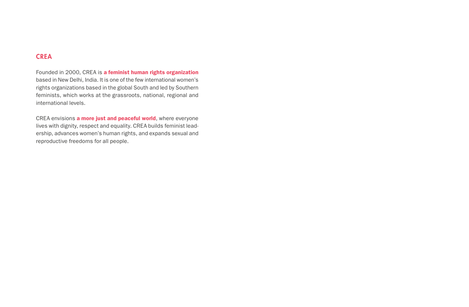#### **CREA**

Founded in 2000, CREA is a feminist human rights organization based in New Delhi, India. It is one of the few international women's rights organizations based in the global South and led by Southern feminists, which works at the grassroots, national, regional and international levels.

CREA envisions a more just and peaceful world, where everyone lives with dignity, respect and equality. CREA builds feminist leadership, advances women's human rights, and expands sexual and reproductive freedoms for all people.